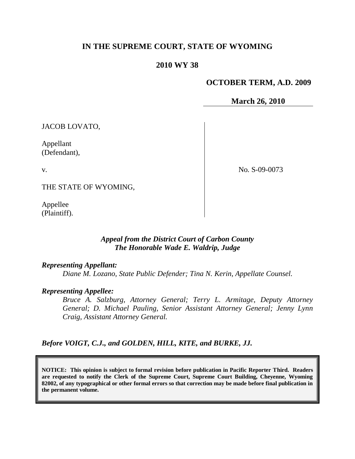# **IN THE SUPREME COURT, STATE OF WYOMING**

# **2010 WY 38**

# **OCTOBER TERM, A.D. 2009**

**March 26, 2010**

JACOB LOVATO,

Appellant (Defendant),

v.

No. S-09-0073

THE STATE OF WYOMING,

Appellee (Plaintiff).

# *Appeal from the District Court of Carbon County The Honorable Wade E. Waldrip, Judge*

*Representing Appellant:*

*Diane M. Lozano, State Public Defender; Tina N. Kerin, Appellate Counsel.*

## *Representing Appellee:*

*Bruce A. Salzburg, Attorney General; Terry L. Armitage, Deputy Attorney General; D. Michael Pauling, Senior Assistant Attorney General; Jenny Lynn Craig, Assistant Attorney General.*

*Before VOIGT, C.J., and GOLDEN, HILL, KITE, and BURKE, JJ.*

**NOTICE: This opinion is subject to formal revision before publication in Pacific Reporter Third. Readers are requested to notify the Clerk of the Supreme Court, Supreme Court Building, Cheyenne, Wyoming 82002, of any typographical or other formal errors so that correction may be made before final publication in the permanent volume.**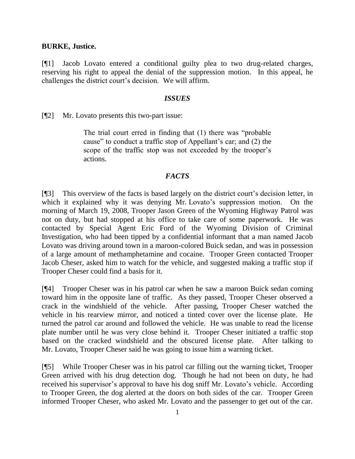### **BURKE, Justice.**

[¶1] Jacob Lovato entered a conditional guilty plea to two drug-related charges, reserving his right to appeal the denial of the suppression motion. In this appeal, he challenges the district court"s decision. We will affirm.

### *ISSUES*

[¶2] Mr. Lovato presents this two-part issue:

The trial court erred in finding that (1) there was "probable cause" to conduct a traffic stop of Appellant's car; and (2) the scope of the traffic stop was not exceeded by the trooper's actions.

### *FACTS*

[¶3] This overview of the facts is based largely on the district court's decision letter, in which it explained why it was denying Mr. Lovato's suppression motion. On the morning of March 19, 2008, Trooper Jason Green of the Wyoming Highway Patrol was not on duty, but had stopped at his office to take care of some paperwork. He was contacted by Special Agent Eric Ford of the Wyoming Division of Criminal Investigation, who had been tipped by a confidential informant that a man named Jacob Lovato was driving around town in a maroon-colored Buick sedan, and was in possession of a large amount of methamphetamine and cocaine. Trooper Green contacted Trooper Jacob Cheser, asked him to watch for the vehicle, and suggested making a traffic stop if Trooper Cheser could find a basis for it.

[¶4] Trooper Cheser was in his patrol car when he saw a maroon Buick sedan coming toward him in the opposite lane of traffic. As they passed, Trooper Cheser observed a crack in the windshield of the vehicle. After passing, Trooper Cheser watched the vehicle in his rearview mirror, and noticed a tinted cover over the license plate. He turned the patrol car around and followed the vehicle. He was unable to read the license plate number until he was very close behind it. Trooper Cheser initiated a traffic stop based on the cracked windshield and the obscured license plate. After talking to Mr. Lovato, Trooper Cheser said he was going to issue him a warning ticket.

[¶5] While Trooper Cheser was in his patrol car filling out the warning ticket, Trooper Green arrived with his drug detection dog. Though he had not been on duty, he had received his supervisor's approval to have his dog sniff Mr. Lovato's vehicle. According to Trooper Green, the dog alerted at the doors on both sides of the car. Trooper Green informed Trooper Cheser, who asked Mr. Lovato and the passenger to get out of the car.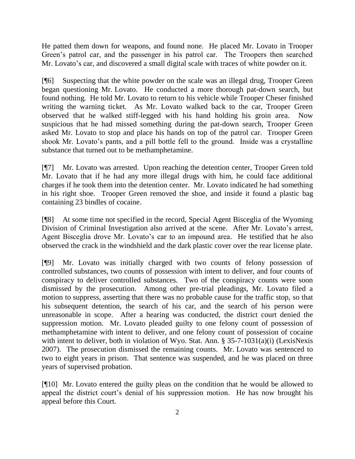He patted them down for weapons, and found none. He placed Mr. Lovato in Trooper Green"s patrol car, and the passenger in his patrol car. The Troopers then searched Mr. Lovato's car, and discovered a small digital scale with traces of white powder on it.

[¶6] Suspecting that the white powder on the scale was an illegal drug, Trooper Green began questioning Mr. Lovato. He conducted a more thorough pat-down search, but found nothing. He told Mr. Lovato to return to his vehicle while Trooper Cheser finished writing the warning ticket. As Mr. Lovato walked back to the car, Trooper Green observed that he walked stiff-legged with his hand holding his groin area. Now suspicious that he had missed something during the pat-down search, Trooper Green asked Mr. Lovato to stop and place his hands on top of the patrol car. Trooper Green shook Mr. Lovato's pants, and a pill bottle fell to the ground. Inside was a crystalline substance that turned out to be methamphetamine.

[¶7] Mr. Lovato was arrested. Upon reaching the detention center, Trooper Green told Mr. Lovato that if he had any more illegal drugs with him, he could face additional charges if he took them into the detention center. Mr. Lovato indicated he had something in his right shoe. Trooper Green removed the shoe, and inside it found a plastic bag containing 23 bindles of cocaine.

[¶8] At some time not specified in the record, Special Agent Bisceglia of the Wyoming Division of Criminal Investigation also arrived at the scene. After Mr. Lovato's arrest, Agent Bisceglia drove Mr. Lovato's car to an impound area. He testified that he also observed the crack in the windshield and the dark plastic cover over the rear license plate.

[¶9] Mr. Lovato was initially charged with two counts of felony possession of controlled substances, two counts of possession with intent to deliver, and four counts of conspiracy to deliver controlled substances. Two of the conspiracy counts were soon dismissed by the prosecution. Among other pre-trial pleadings, Mr. Lovato filed a motion to suppress, asserting that there was no probable cause for the traffic stop, so that his subsequent detention, the search of his car, and the search of his person were unreasonable in scope. After a hearing was conducted, the district court denied the suppression motion. Mr. Lovato pleaded guilty to one felony count of possession of methamphetamine with intent to deliver, and one felony count of possession of cocaine with intent to deliver, both in violation of Wyo. Stat. Ann. § 35-7-1031(a)(i) (LexisNexis 2007). The prosecution dismissed the remaining counts. Mr. Lovato was sentenced to two to eight years in prison. That sentence was suspended, and he was placed on three years of supervised probation.

[¶10] Mr. Lovato entered the guilty pleas on the condition that he would be allowed to appeal the district court's denial of his suppression motion. He has now brought his appeal before this Court.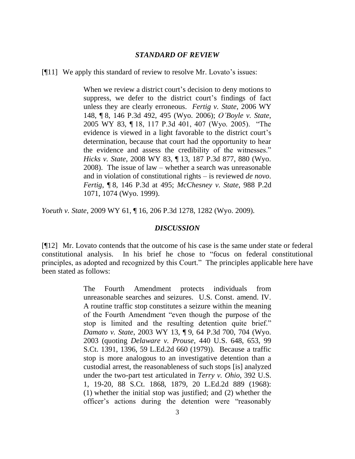#### *STANDARD OF REVIEW*

[¶11] We apply this standard of review to resolve Mr. Lovato's issues:

When we review a district court's decision to deny motions to suppress, we defer to the district court's findings of fact unless they are clearly erroneous. *Fertig v. State*, 2006 WY 148, ¶ 8, 146 P.3d 492, 495 (Wyo. 2006); *O'Boyle v. State*, 2005 WY 83, ¶ 18, 117 P.3d 401, 407 (Wyo. 2005). "The evidence is viewed in a light favorable to the district court's determination, because that court had the opportunity to hear the evidence and assess the credibility of the witnesses." *Hicks v. State*, 2008 WY 83, ¶ 13, 187 P.3d 877, 880 (Wyo. 2008). The issue of law – whether a search was unreasonable and in violation of constitutional rights – is reviewed *de novo*. *Fertig*, ¶ 8, 146 P.3d at 495; *McChesney v. State*, 988 P.2d 1071, 1074 (Wyo. 1999).

*Yoeuth v. State*, 2009 WY 61, ¶ 16, 206 P.3d 1278, 1282 (Wyo. 2009).

#### *DISCUSSION*

[¶12] Mr. Lovato contends that the outcome of his case is the same under state or federal constitutional analysis. In his brief he chose to "focus on federal constitutional principles, as adopted and recognized by this Court." The principles applicable here have been stated as follows:

> The Fourth Amendment protects individuals from unreasonable searches and seizures. U.S. Const. amend. IV. A routine traffic stop constitutes a seizure within the meaning of the Fourth Amendment "even though the purpose of the stop is limited and the resulting detention quite brief." *Damato v. State*, 2003 WY 13, ¶ 9, 64 P.3d 700, 704 (Wyo. 2003 (quoting *Delaware v. Prouse*, 440 U.S. 648, 653, 99 S.Ct. 1391, 1396, 59 L.Ed.2d 660 (1979)). Because a traffic stop is more analogous to an investigative detention than a custodial arrest, the reasonableness of such stops [is] analyzed under the two-part test articulated in *Terry v. Ohio*, 392 U.S. 1, 19-20, 88 S.Ct. 1868, 1879, 20 L.Ed.2d 889 (1968): (1) whether the initial stop was justified; and (2) whether the officer"s actions during the detention were "reasonably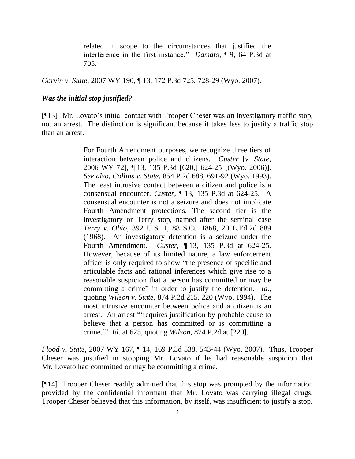related in scope to the circumstances that justified the interference in the first instance." *Damato*, ¶ 9, 64 P.3d at 705.

*Garvin v. State*, 2007 WY 190, ¶ 13, 172 P.3d 725, 728-29 (Wyo. 2007).

#### *Was the initial stop justified?*

[¶13] Mr. Lovato's initial contact with Trooper Cheser was an investigatory traffic stop, not an arrest. The distinction is significant because it takes less to justify a traffic stop than an arrest.

> For Fourth Amendment purposes, we recognize three tiers of interaction between police and citizens. *Custer* [*v. State*, 2006 WY 72], ¶ 13, 135 P.3d [620,] 624-25 [(Wyo. 2006)]. *See also*, *Collins v. State*, 854 P.2d 688, 691-92 (Wyo. 1993). The least intrusive contact between a citizen and police is a consensual encounter. *Custer*, ¶ 13, 135 P.3d at 624-25. A consensual encounter is not a seizure and does not implicate Fourth Amendment protections. The second tier is the investigatory or Terry stop, named after the seminal case *Terry v. Ohio*, 392 U.S. 1, 88 S.Ct. 1868, 20 L.Ed.2d 889 (1968). An investigatory detention is a seizure under the Fourth Amendment. *Custer*, ¶ 13, 135 P.3d at 624-25. However, because of its limited nature, a law enforcement officer is only required to show "the presence of specific and articulable facts and rational inferences which give rise to a reasonable suspicion that a person has committed or may be committing a crime" in order to justify the detention. *Id*., quoting *Wilson v. State*, 874 P.2d 215, 220 (Wyo. 1994). The most intrusive encounter between police and a citizen is an arrest. An arrest ""requires justification by probable cause to believe that a person has committed or is committing a crime."" *Id*. at 625, quoting *Wilson*, 874 P.2d at [220].

*Flood v. State*, 2007 WY 167, ¶ 14, 169 P.3d 538, 543-44 (Wyo. 2007). Thus, Trooper Cheser was justified in stopping Mr. Lovato if he had reasonable suspicion that Mr. Lovato had committed or may be committing a crime.

[¶14] Trooper Cheser readily admitted that this stop was prompted by the information provided by the confidential informant that Mr. Lovato was carrying illegal drugs. Trooper Cheser believed that this information, by itself, was insufficient to justify a stop.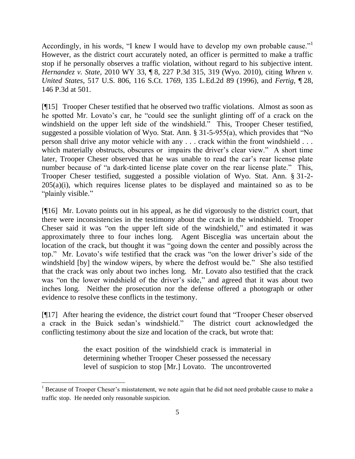Accordingly, in his words, "I knew I would have to develop my own probable cause."<sup>1</sup> However, as the district court accurately noted, an officer is permitted to make a traffic stop if he personally observes a traffic violation, without regard to his subjective intent. *Hernandez v. State*, 2010 WY 33, ¶ 8, 227 P.3d 315, 319 (Wyo. 2010), citing *Whren v. United States*, 517 U.S. 806, 116 S.Ct. 1769, 135 L.Ed.2d 89 (1996), and *Fertig*, ¶ 28, 146 P.3d at 501.

[¶15] Trooper Cheser testified that he observed two traffic violations. Almost as soon as he spotted Mr. Lovato's car, he "could see the sunlight glinting off of a crack on the windshield on the upper left side of the windshield." This, Trooper Cheser testified, suggested a possible violation of Wyo. Stat. Ann. § 31-5-955(a), which provides that "No person shall drive any motor vehicle with any . . . crack within the front windshield . . . which materially obstructs, obscures or impairs the driver's clear view." A short time later, Trooper Cheser observed that he was unable to read the car"s rear license plate number because of "a dark-tinted license plate cover on the rear license plate." This, Trooper Cheser testified, suggested a possible violation of Wyo. Stat. Ann. § 31-2-  $205(a)(i)$ , which requires license plates to be displayed and maintained so as to be "plainly visible."

[¶16] Mr. Lovato points out in his appeal, as he did vigorously to the district court, that there were inconsistencies in the testimony about the crack in the windshield. Trooper Cheser said it was "on the upper left side of the windshield," and estimated it was approximately three to four inches long. Agent Bisceglia was uncertain about the location of the crack, but thought it was "going down the center and possibly across the top." Mr. Lovato's wife testified that the crack was "on the lower driver's side of the windshield [by] the window wipers, by where the defrost would be." She also testified that the crack was only about two inches long. Mr. Lovato also testified that the crack was "on the lower windshield of the driver's side," and agreed that it was about two inches long. Neither the prosecution nor the defense offered a photograph or other evidence to resolve these conflicts in the testimony.

[¶17] After hearing the evidence, the district court found that "Trooper Cheser observed a crack in the Buick sedan"s windshield." The district court acknowledged the conflicting testimony about the size and location of the crack, but wrote that:

> the exact position of the windshield crack is immaterial in determining whether Trooper Cheser possessed the necessary level of suspicion to stop [Mr.] Lovato. The uncontroverted

 $\overline{a}$ 

 $1$  Because of Trooper Cheser's misstatement, we note again that he did not need probable cause to make a traffic stop. He needed only reasonable suspicion.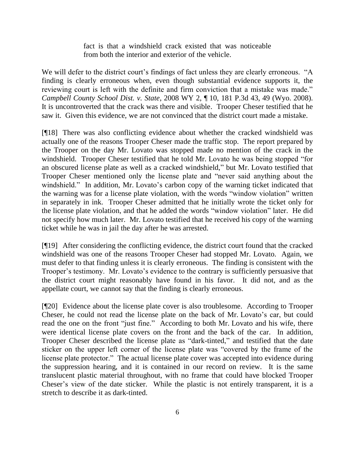fact is that a windshield crack existed that was noticeable from both the interior and exterior of the vehicle.

We will defer to the district court's findings of fact unless they are clearly erroneous. "A finding is clearly erroneous when, even though substantial evidence supports it, the reviewing court is left with the definite and firm conviction that a mistake was made." *Campbell County School Dist. v. State*, 2008 WY 2, ¶ 10, 181 P.3d 43, 49 (Wyo. 2008). It is uncontroverted that the crack was there and visible. Trooper Cheser testified that he saw it. Given this evidence, we are not convinced that the district court made a mistake.

[¶18] There was also conflicting evidence about whether the cracked windshield was actually one of the reasons Trooper Cheser made the traffic stop. The report prepared by the Trooper on the day Mr. Lovato was stopped made no mention of the crack in the windshield. Trooper Cheser testified that he told Mr. Lovato he was being stopped "for an obscured license plate as well as a cracked windshield," but Mr. Lovato testified that Trooper Cheser mentioned only the license plate and "never said anything about the windshield." In addition, Mr. Lovato's carbon copy of the warning ticket indicated that the warning was for a license plate violation, with the words "window violation" written in separately in ink. Trooper Cheser admitted that he initially wrote the ticket only for the license plate violation, and that he added the words "window violation" later. He did not specify how much later. Mr. Lovato testified that he received his copy of the warning ticket while he was in jail the day after he was arrested.

[¶19] After considering the conflicting evidence, the district court found that the cracked windshield was one of the reasons Trooper Cheser had stopped Mr. Lovato. Again, we must defer to that finding unless it is clearly erroneous. The finding is consistent with the Trooper's testimony. Mr. Lovato's evidence to the contrary is sufficiently persuasive that the district court might reasonably have found in his favor. It did not, and as the appellate court, we cannot say that the finding is clearly erroneous.

[¶20] Evidence about the license plate cover is also troublesome. According to Trooper Cheser, he could not read the license plate on the back of Mr. Lovato"s car, but could read the one on the front "just fine." According to both Mr. Lovato and his wife, there were identical license plate covers on the front and the back of the car. In addition, Trooper Cheser described the license plate as "dark-tinted," and testified that the date sticker on the upper left corner of the license plate was "covered by the frame of the license plate protector." The actual license plate cover was accepted into evidence during the suppression hearing, and it is contained in our record on review. It is the same translucent plastic material throughout, with no frame that could have blocked Trooper Cheser"s view of the date sticker. While the plastic is not entirely transparent, it is a stretch to describe it as dark-tinted.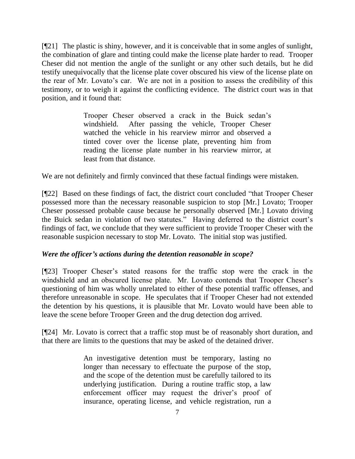[¶21] The plastic is shiny, however, and it is conceivable that in some angles of sunlight, the combination of glare and tinting could make the license plate harder to read. Trooper Cheser did not mention the angle of the sunlight or any other such details, but he did testify unequivocally that the license plate cover obscured his view of the license plate on the rear of Mr. Lovato"s car. We are not in a position to assess the credibility of this testimony, or to weigh it against the conflicting evidence. The district court was in that position, and it found that:

> Trooper Cheser observed a crack in the Buick sedan"s windshield. After passing the vehicle, Trooper Cheser watched the vehicle in his rearview mirror and observed a tinted cover over the license plate, preventing him from reading the license plate number in his rearview mirror, at least from that distance.

We are not definitely and firmly convinced that these factual findings were mistaken.

[¶22] Based on these findings of fact, the district court concluded "that Trooper Cheser possessed more than the necessary reasonable suspicion to stop [Mr.] Lovato; Trooper Cheser possessed probable cause because he personally observed [Mr.] Lovato driving the Buick sedan in violation of two statutes." Having deferred to the district court's findings of fact, we conclude that they were sufficient to provide Trooper Cheser with the reasonable suspicion necessary to stop Mr. Lovato. The initial stop was justified.

## *Were the officer's actions during the detention reasonable in scope?*

[¶23] Trooper Cheser"s stated reasons for the traffic stop were the crack in the windshield and an obscured license plate. Mr. Lovato contends that Trooper Cheser's questioning of him was wholly unrelated to either of these potential traffic offenses, and therefore unreasonable in scope. He speculates that if Trooper Cheser had not extended the detention by his questions, it is plausible that Mr. Lovato would have been able to leave the scene before Trooper Green and the drug detection dog arrived.

[¶24] Mr. Lovato is correct that a traffic stop must be of reasonably short duration, and that there are limits to the questions that may be asked of the detained driver.

> An investigative detention must be temporary, lasting no longer than necessary to effectuate the purpose of the stop, and the scope of the detention must be carefully tailored to its underlying justification. During a routine traffic stop, a law enforcement officer may request the driver's proof of insurance, operating license, and vehicle registration, run a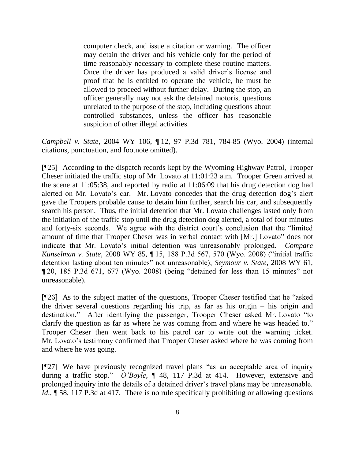computer check, and issue a citation or warning. The officer may detain the driver and his vehicle only for the period of time reasonably necessary to complete these routine matters. Once the driver has produced a valid driver"s license and proof that he is entitled to operate the vehicle, he must be allowed to proceed without further delay. During the stop, an officer generally may not ask the detained motorist questions unrelated to the purpose of the stop, including questions about controlled substances, unless the officer has reasonable suspicion of other illegal activities.

*Campbell v. State*, 2004 WY 106, ¶ 12, 97 P.3d 781, 784-85 (Wyo. 2004) (internal citations, punctuation, and footnote omitted).

[¶25] According to the dispatch records kept by the Wyoming Highway Patrol, Trooper Cheser initiated the traffic stop of Mr. Lovato at 11:01:23 a.m. Trooper Green arrived at the scene at 11:05:38, and reported by radio at 11:06:09 that his drug detection dog had alerted on Mr. Lovato's car. Mr. Lovato concedes that the drug detection dog's alert gave the Troopers probable cause to detain him further, search his car, and subsequently search his person. Thus, the initial detention that Mr. Lovato challenges lasted only from the initiation of the traffic stop until the drug detection dog alerted, a total of four minutes and forty-six seconds. We agree with the district court's conclusion that the "limited" amount of time that Trooper Cheser was in verbal contact with [Mr.] Lovato" does not indicate that Mr. Lovato's initial detention was unreasonably prolonged. *Compare Kunselman v. State*, 2008 WY 85, ¶ 15, 188 P.3d 567, 570 (Wyo. 2008) ("initial traffic detention lasting about ten minutes" not unreasonable); *Seymour v. State*, 2008 WY 61, ¶ 20, 185 P.3d 671, 677 (Wyo. 2008) (being "detained for less than 15 minutes" not unreasonable).

[¶26] As to the subject matter of the questions, Trooper Cheser testified that he "asked the driver several questions regarding his trip, as far as his origin – his origin and destination." After identifying the passenger, Trooper Cheser asked Mr. Lovato "to clarify the question as far as where he was coming from and where he was headed to." Trooper Cheser then went back to his patrol car to write out the warning ticket. Mr. Lovato's testimony confirmed that Trooper Cheser asked where he was coming from and where he was going.

[¶27] We have previously recognized travel plans "as an acceptable area of inquiry during a traffic stop." *O'Boyle*, ¶ 48, 117 P.3d at 414. However, extensive and prolonged inquiry into the details of a detained driver"s travel plans may be unreasonable. *Id.*, **[58, 117 P.3d at 417.** There is no rule specifically prohibiting or allowing questions